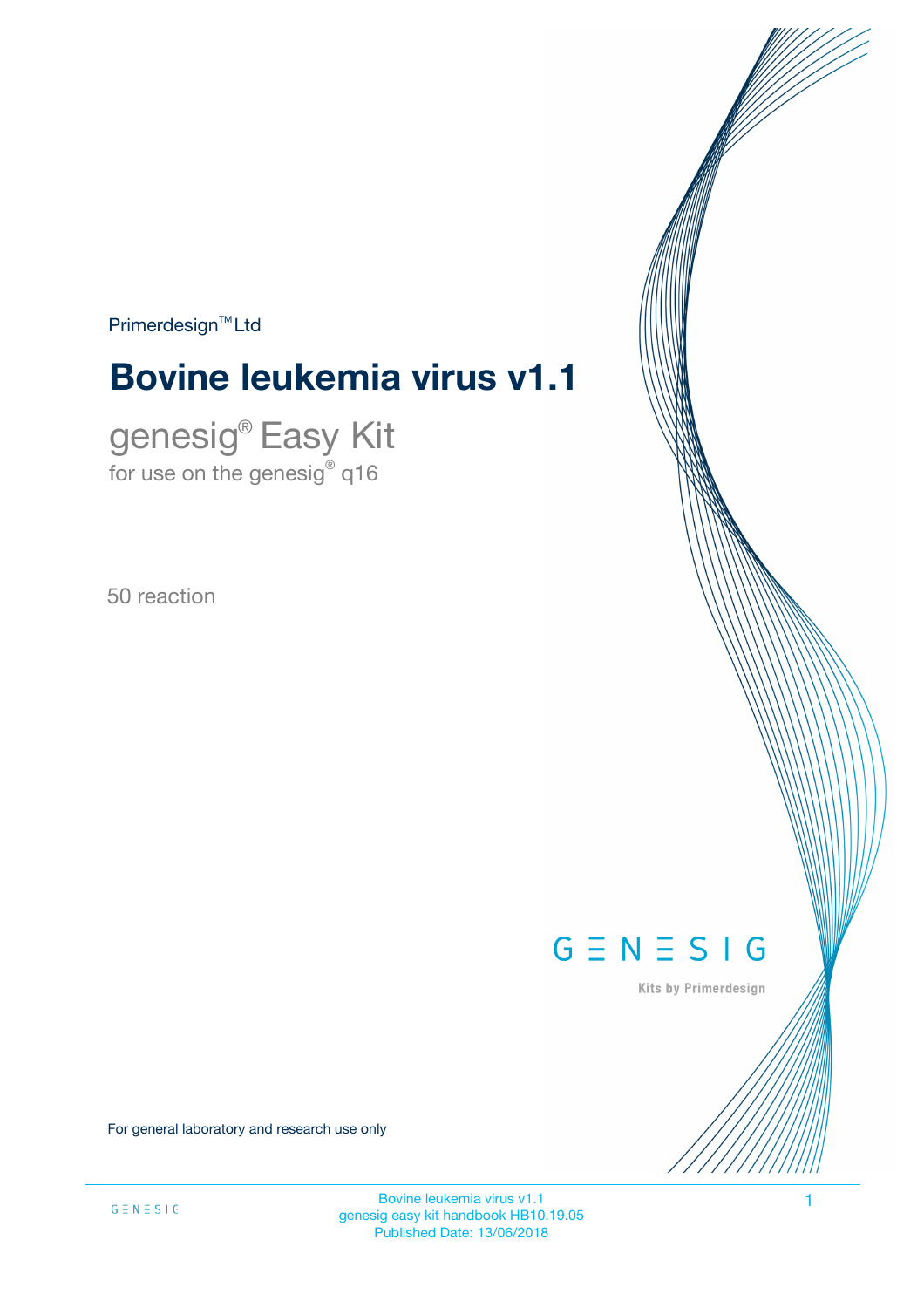$Primerdesign<sup>™</sup>Ltd$ 

# **Bovine leukemia virus v1.1**

genesig® Easy Kit for use on the genesig $^\circ$  q16

50 reaction



Kits by Primerdesign

For general laboratory and research use only

Bovine leukemia virus v1.1 1 genesig easy kit handbook HB10.19.05 Published Date: 13/06/2018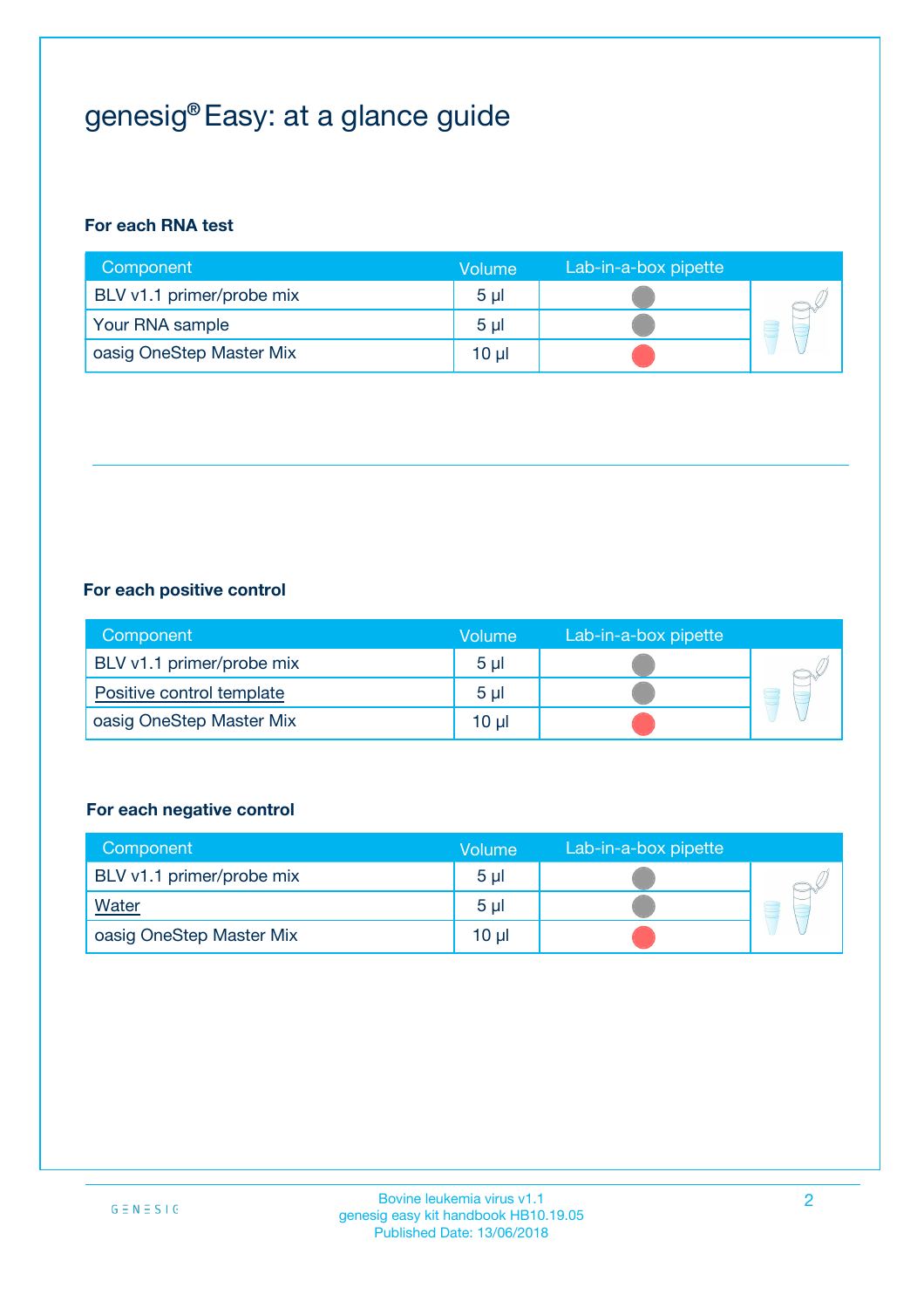# genesig® Easy: at a glance guide

### **For each RNA test**

| Component                 | <b>Volume</b>  | Lab-in-a-box pipette |  |
|---------------------------|----------------|----------------------|--|
| BLV v1.1 primer/probe mix | 5 <sub>µ</sub> |                      |  |
| Your RNA sample           | 5 <sub>µ</sub> |                      |  |
| oasig OneStep Master Mix  | 10 µl          |                      |  |

### **For each positive control**

| Component                 | Volume         | Lab-in-a-box pipette |  |
|---------------------------|----------------|----------------------|--|
| BLV v1.1 primer/probe mix | 5 <sub>µ</sub> |                      |  |
| Positive control template | 5 <sub>µ</sub> |                      |  |
| oasig OneStep Master Mix  | 10 µl          |                      |  |

### **For each negative control**

| Component                 | <b>Volume</b>  | Lab-in-a-box pipette |   |
|---------------------------|----------------|----------------------|---|
| BLV v1.1 primer/probe mix | 5 <sub>µ</sub> |                      |   |
| <b>Water</b>              | 5 <sub>µ</sub> |                      | Ē |
| oasig OneStep Master Mix  | $10 \mu$       |                      |   |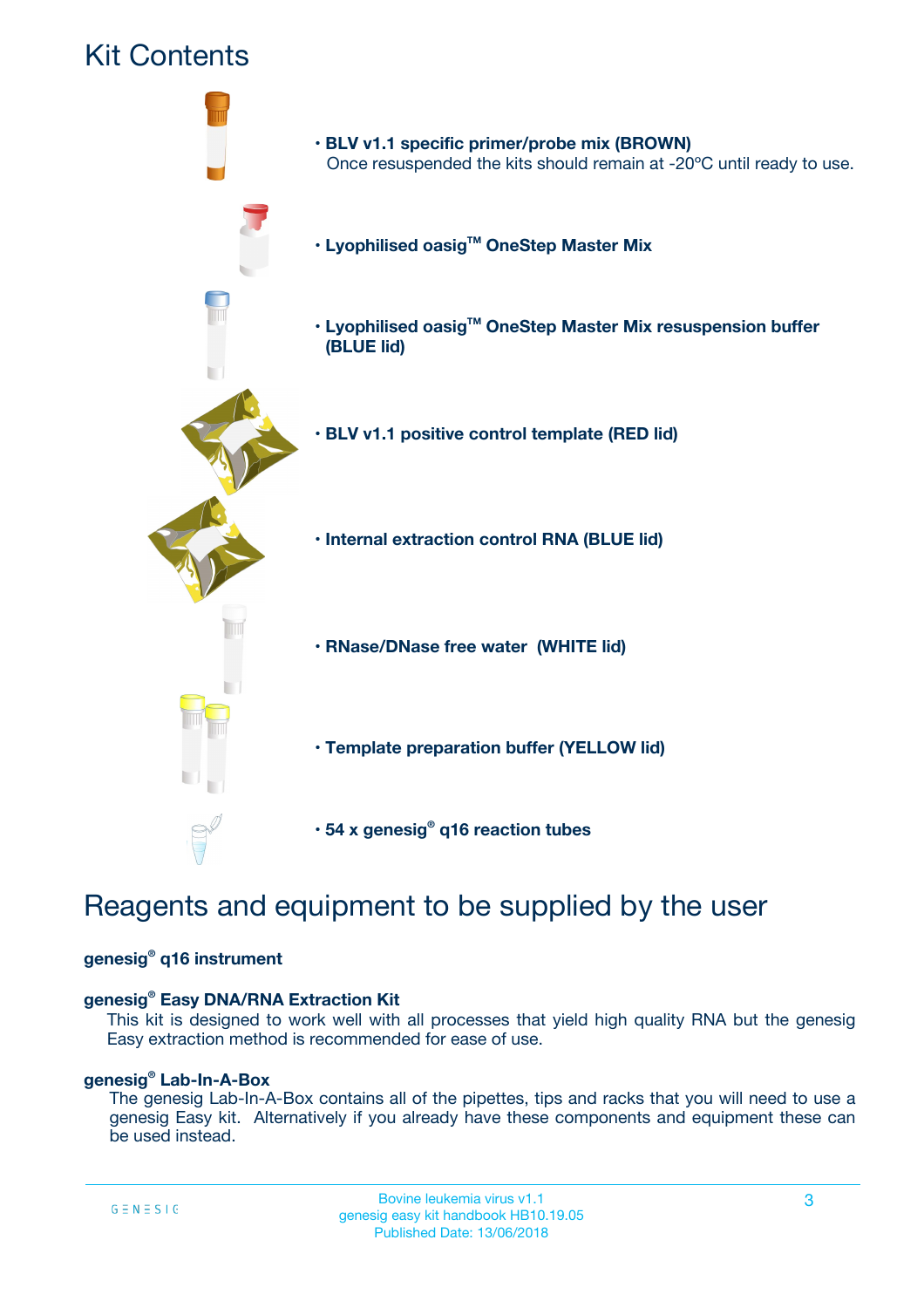

# Reagents and equipment to be supplied by the user

### **genesig® q16 instrument**

### **genesig® Easy DNA/RNA Extraction Kit**

This kit is designed to work well with all processes that yield high quality RNA but the genesig Easy extraction method is recommended for ease of use.

### **genesig® Lab-In-A-Box**

The genesig Lab-In-A-Box contains all of the pipettes, tips and racks that you will need to use a genesig Easy kit. Alternatively if you already have these components and equipment these can be used instead.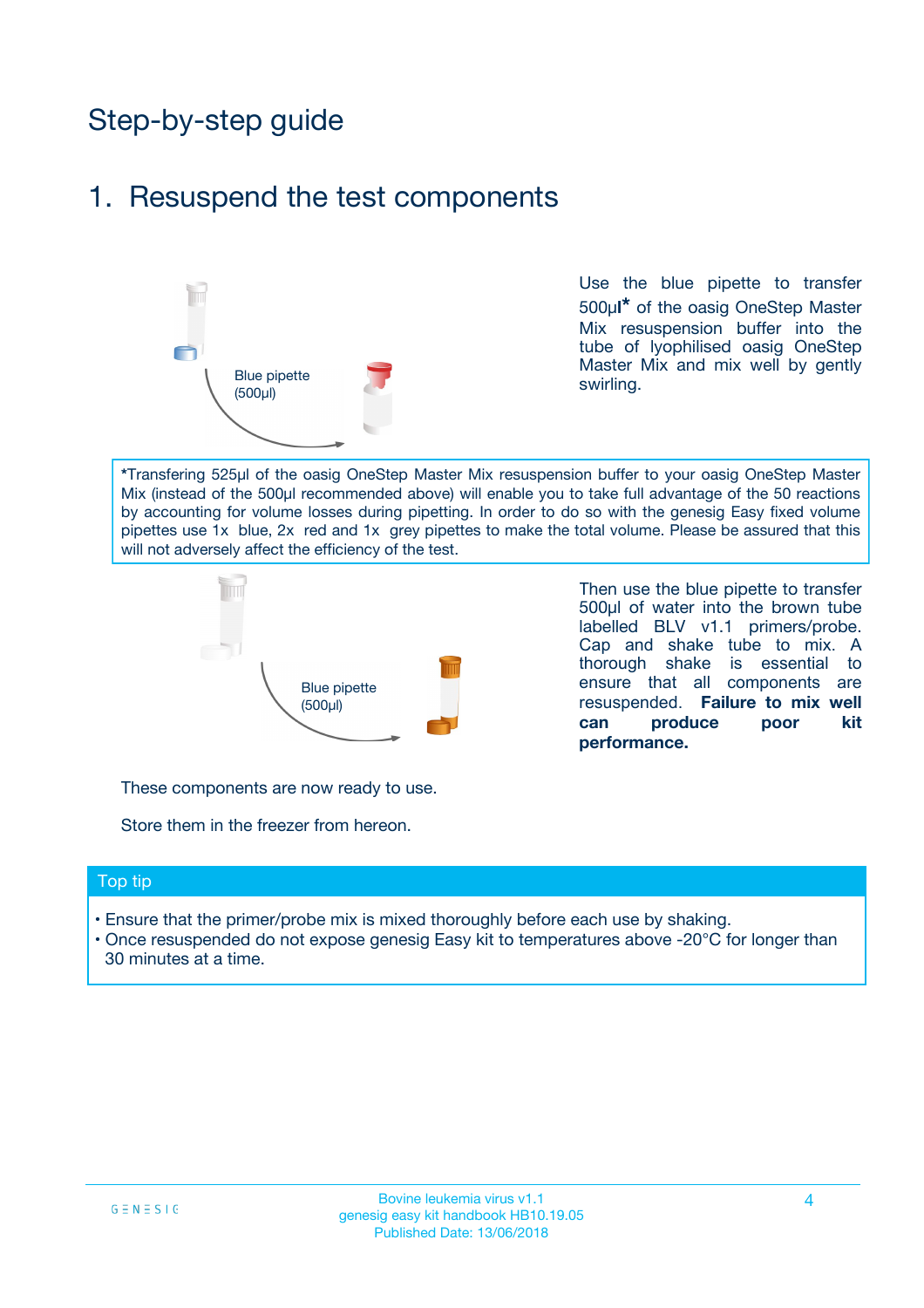## Step-by-step guide

## 1. Resuspend the test components



Use the blue pipette to transfer 500µ**l\*** of the oasig OneStep Master Mix resuspension buffer into the tube of lyophilised oasig OneStep Master Mix and mix well by gently swirling.

**\***Transfering 525µl of the oasig OneStep Master Mix resuspension buffer to your oasig OneStep Master Mix (instead of the 500µl recommended above) will enable you to take full advantage of the 50 reactions by accounting for volume losses during pipetting. In order to do so with the genesig Easy fixed volume pipettes use 1x blue, 2x red and 1x grey pipettes to make the total volume. Please be assured that this will not adversely affect the efficiency of the test.



Then use the blue pipette to transfer 500µl of water into the brown tube labelled BLV v1.1 primers/probe. Cap and shake tube to mix. A thorough shake is essential to ensure that all components are resuspended. **Failure to mix well can produce poor kit performance.**

These components are now ready to use.

Store them in the freezer from hereon.

#### Top tip

- Ensure that the primer/probe mix is mixed thoroughly before each use by shaking.
- Once resuspended do not expose genesig Easy kit to temperatures above -20°C for longer than 30 minutes at a time.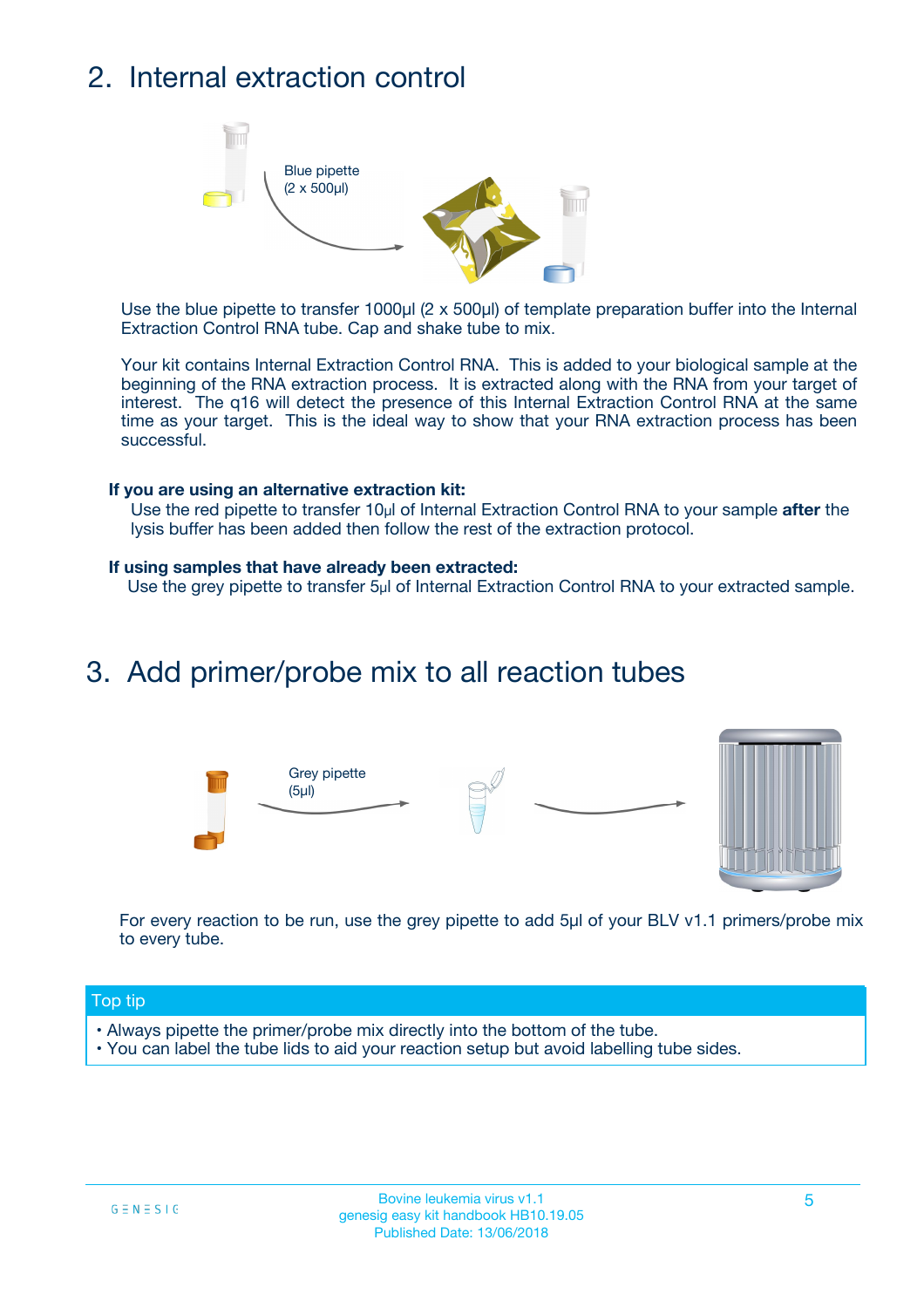## 2. Internal extraction control



Use the blue pipette to transfer 1000µl (2 x 500µl) of template preparation buffer into the Internal Extraction Control RNA tube. Cap and shake tube to mix.

Your kit contains Internal Extraction Control RNA. This is added to your biological sample at the beginning of the RNA extraction process. It is extracted along with the RNA from your target of interest. The q16 will detect the presence of this Internal Extraction Control RNA at the same time as your target. This is the ideal way to show that your RNA extraction process has been successful.

#### **If you are using an alternative extraction kit:**

Use the red pipette to transfer 10µl of Internal Extraction Control RNA to your sample **after** the lysis buffer has been added then follow the rest of the extraction protocol.

#### **If using samples that have already been extracted:**

Use the grey pipette to transfer 5µl of Internal Extraction Control RNA to your extracted sample.

## 3. Add primer/probe mix to all reaction tubes





For every reaction to be run, use the grey pipette to add 5µl of your BLV v1.1 primers/probe mix to every tube.

### Top tip

- Always pipette the primer/probe mix directly into the bottom of the tube.
- You can label the tube lids to aid your reaction setup but avoid labelling tube sides.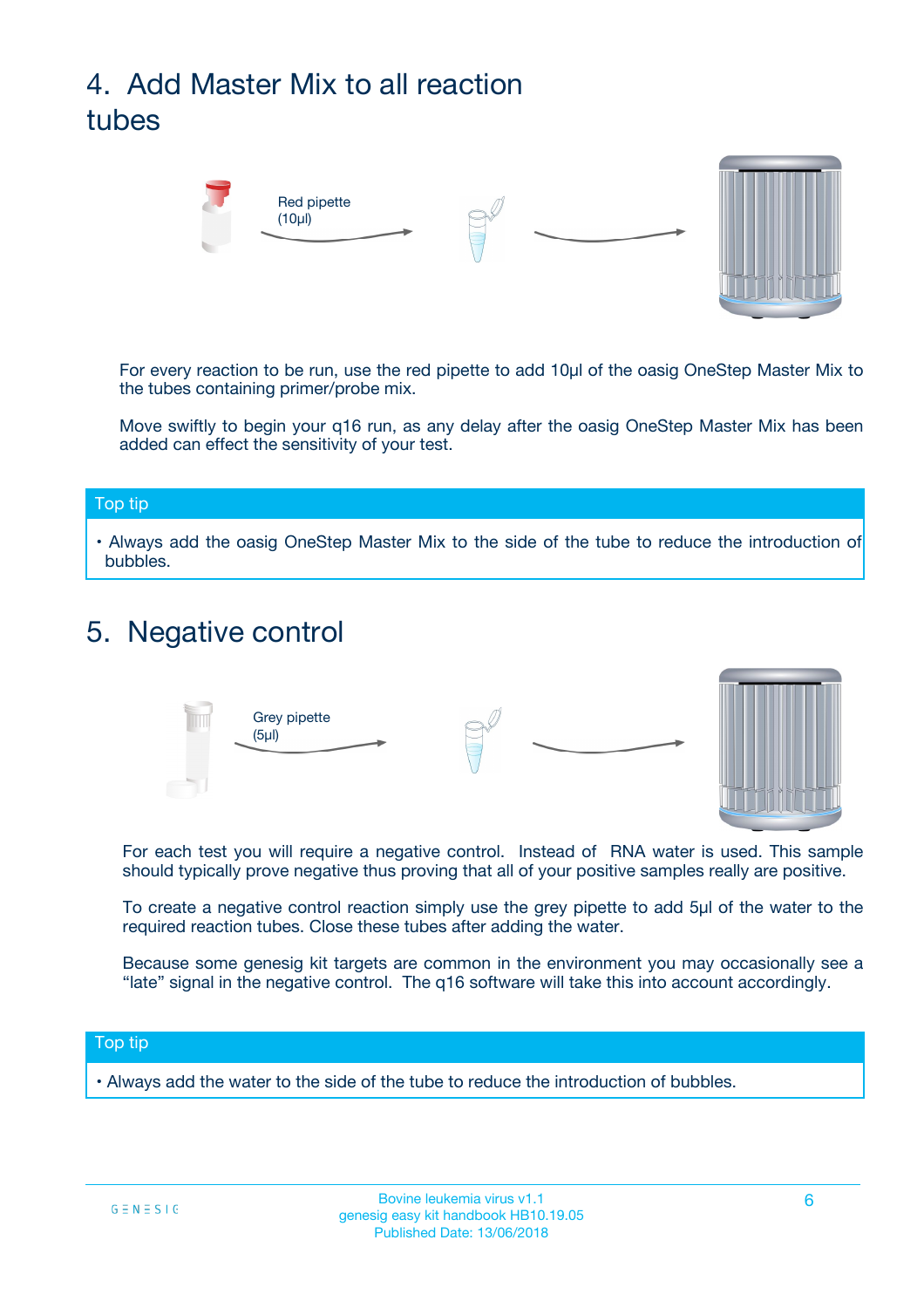# 4. Add Master Mix to all reaction tubes



For every reaction to be run, use the red pipette to add 10µl of the oasig OneStep Master Mix to the tubes containing primer/probe mix.

Move swiftly to begin your q16 run, as any delay after the oasig OneStep Master Mix has been added can effect the sensitivity of your test.

#### Top tip

**•** Always add the oasig OneStep Master Mix to the side of the tube to reduce the introduction of bubbles.

## 5. Negative control



For each test you will require a negative control. Instead of RNA water is used. This sample should typically prove negative thus proving that all of your positive samples really are positive.

To create a negative control reaction simply use the grey pipette to add 5µl of the water to the required reaction tubes. Close these tubes after adding the water.

Because some genesig kit targets are common in the environment you may occasionally see a "late" signal in the negative control. The q16 software will take this into account accordingly.

#### Top tip

**•** Always add the water to the side of the tube to reduce the introduction of bubbles.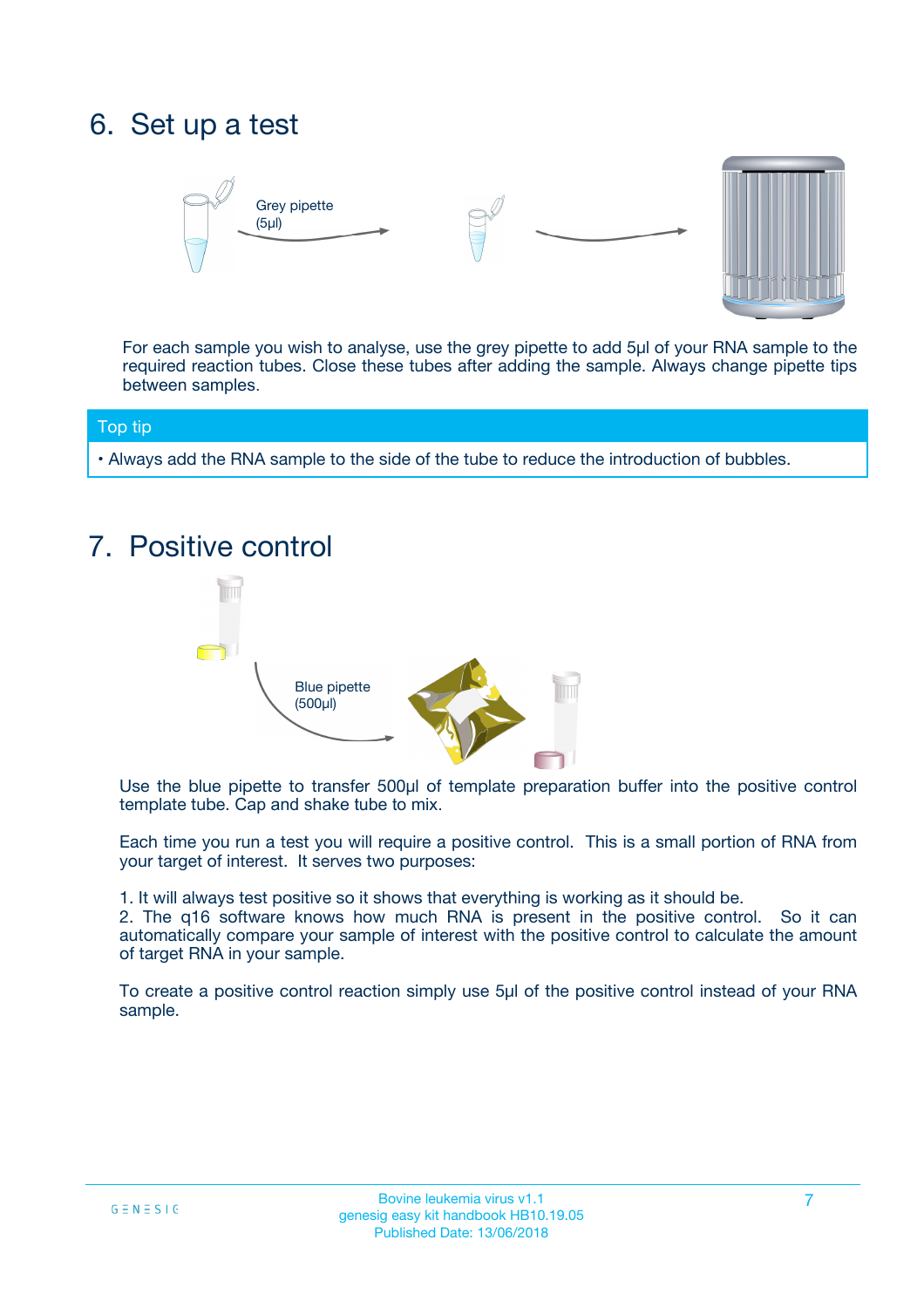## 6. Set up a test





For each sample you wish to analyse, use the grey pipette to add 5µl of your RNA sample to the required reaction tubes. Close these tubes after adding the sample. Always change pipette tips between samples.

### Top tip

**•** Always add the RNA sample to the side of the tube to reduce the introduction of bubbles.

## 7. Positive control



Use the blue pipette to transfer 500µl of template preparation buffer into the positive control template tube. Cap and shake tube to mix.

Each time you run a test you will require a positive control. This is a small portion of RNA from your target of interest. It serves two purposes:

1. It will always test positive so it shows that everything is working as it should be.

2. The q16 software knows how much RNA is present in the positive control. So it can automatically compare your sample of interest with the positive control to calculate the amount of target RNA in your sample.

To create a positive control reaction simply use 5µl of the positive control instead of your RNA sample.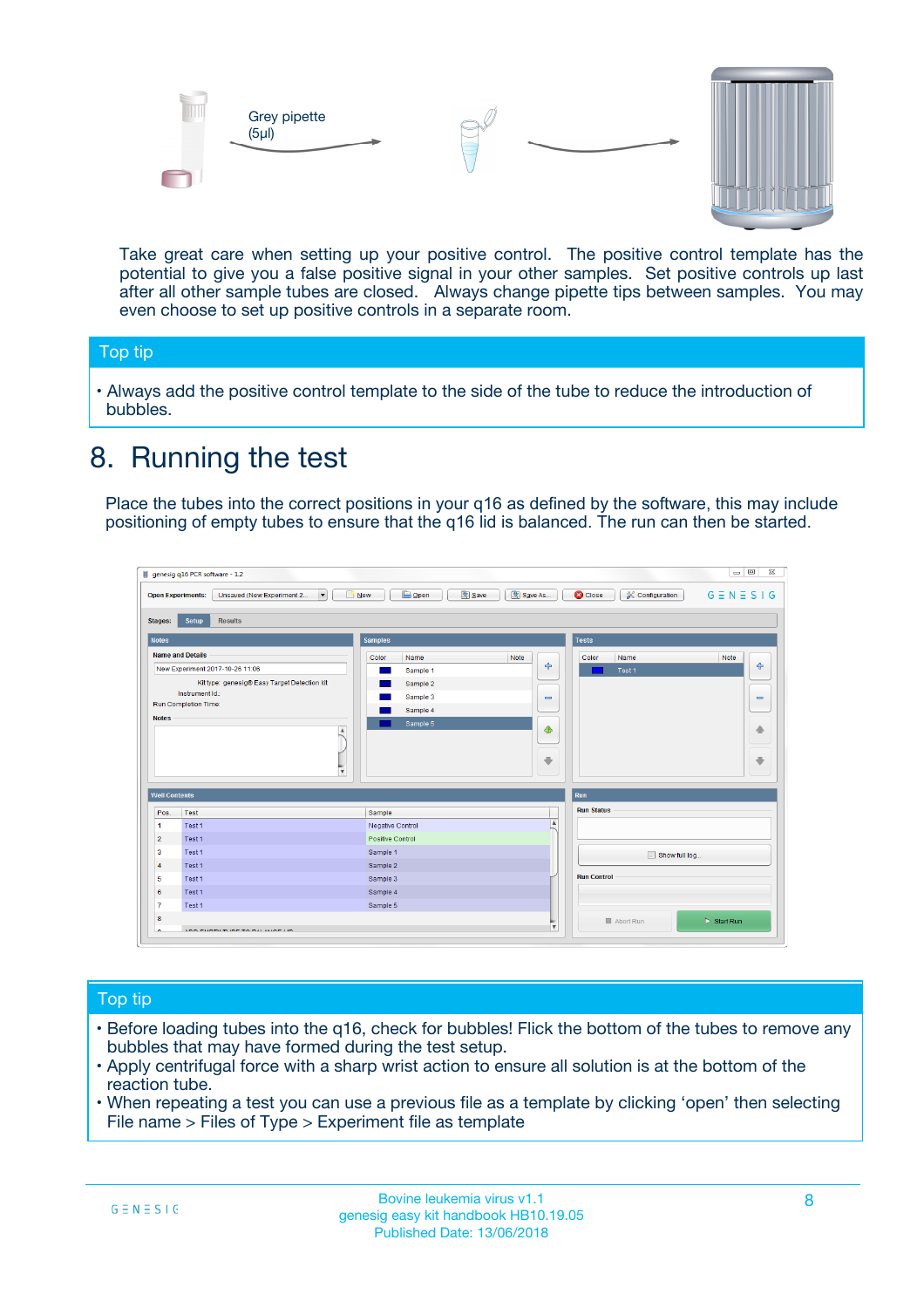



Take great care when setting up your positive control. The positive control template has the potential to give you a false positive signal in your other samples. Set positive controls up last after all other sample tubes are closed. Always change pipette tips between samples. You may even choose to set up positive controls in a separate room.

### Top tip

**•** Always add the positive control template to the side of the tube to reduce the introduction of bubbles.

## 8. Running the test

Place the tubes into the correct positions in your q16 as defined by the software, this may include positioning of empty tubes to ensure that the q16 lid is balanced. The run can then be started.

|                      | genesig q16 PCR software - 1.2                                                          |                                  | $\Box$                                                                       |
|----------------------|-----------------------------------------------------------------------------------------|----------------------------------|------------------------------------------------------------------------------|
|                      | $N$ ew<br><b>Open Experiments:</b><br>Unsaved (New Experiment 2<br>$\blacktriangledown$ | <b>E</b> Open<br>Save<br>Save As | $G \equiv N \equiv S \mid G$<br><b>C</b> Close<br><b>&amp; Configuration</b> |
| <b>Stages:</b>       | Setup<br><b>Results</b>                                                                 |                                  |                                                                              |
| <b>Notes</b>         |                                                                                         | <b>Samples</b>                   | <b>Tests</b>                                                                 |
|                      | <b>Name and Details</b>                                                                 | Color<br>Note<br>Name            | Color<br>Note<br>Name                                                        |
|                      | New Experiment 2017-10-26 11:06                                                         | Sample 1                         | على<br>4<br>Test 1                                                           |
|                      | Kit type: genesig® Easy Target Detection kit                                            | Sample 2                         |                                                                              |
|                      | Instrument Id.:                                                                         | Sample 3                         | $\equiv$<br>$\equiv$                                                         |
|                      | <b>Run Completion Time:</b>                                                             | Sample 4                         |                                                                              |
| <b>Notes</b>         | $\blacktriangle$                                                                        | Sample 5                         | 企<br>40                                                                      |
|                      | $\overline{\mathbf{v}}$                                                                 |                                  | ÷<br>⊕                                                                       |
| <b>Well Contents</b> |                                                                                         |                                  | Run                                                                          |
| Pos.                 | Test                                                                                    | Sample                           | <b>Run Status</b>                                                            |
| -1                   | Test 1                                                                                  | Negative Control                 | $\blacktriangle$                                                             |
| $\overline{2}$       | Test 1                                                                                  | Positive Control                 |                                                                              |
| 3                    | Test 1                                                                                  | Sample 1                         | Show full log                                                                |
| $\overline{4}$       | Test 1                                                                                  | Sample 2                         |                                                                              |
| 5                    | Test 1                                                                                  | Sample 3                         | <b>Run Control</b>                                                           |
| 6                    | Test 1                                                                                  | Sample 4                         |                                                                              |
| $\overline{7}$       | Test 1                                                                                  | Sample 5                         |                                                                              |
| 8                    |                                                                                         |                                  | $\triangleright$ Start Run<br>■ Abort Run                                    |
| ◡                    | <b><i>ADD FURTHER COLLANDELIA</i></b>                                                   |                                  | $\overline{\mathbf{v}}$                                                      |

### Top tip

- Before loading tubes into the q16, check for bubbles! Flick the bottom of the tubes to remove any bubbles that may have formed during the test setup.
- Apply centrifugal force with a sharp wrist action to ensure all solution is at the bottom of the reaction tube.
- When repeating a test you can use a previous file as a template by clicking 'open' then selecting File name > Files of Type > Experiment file as template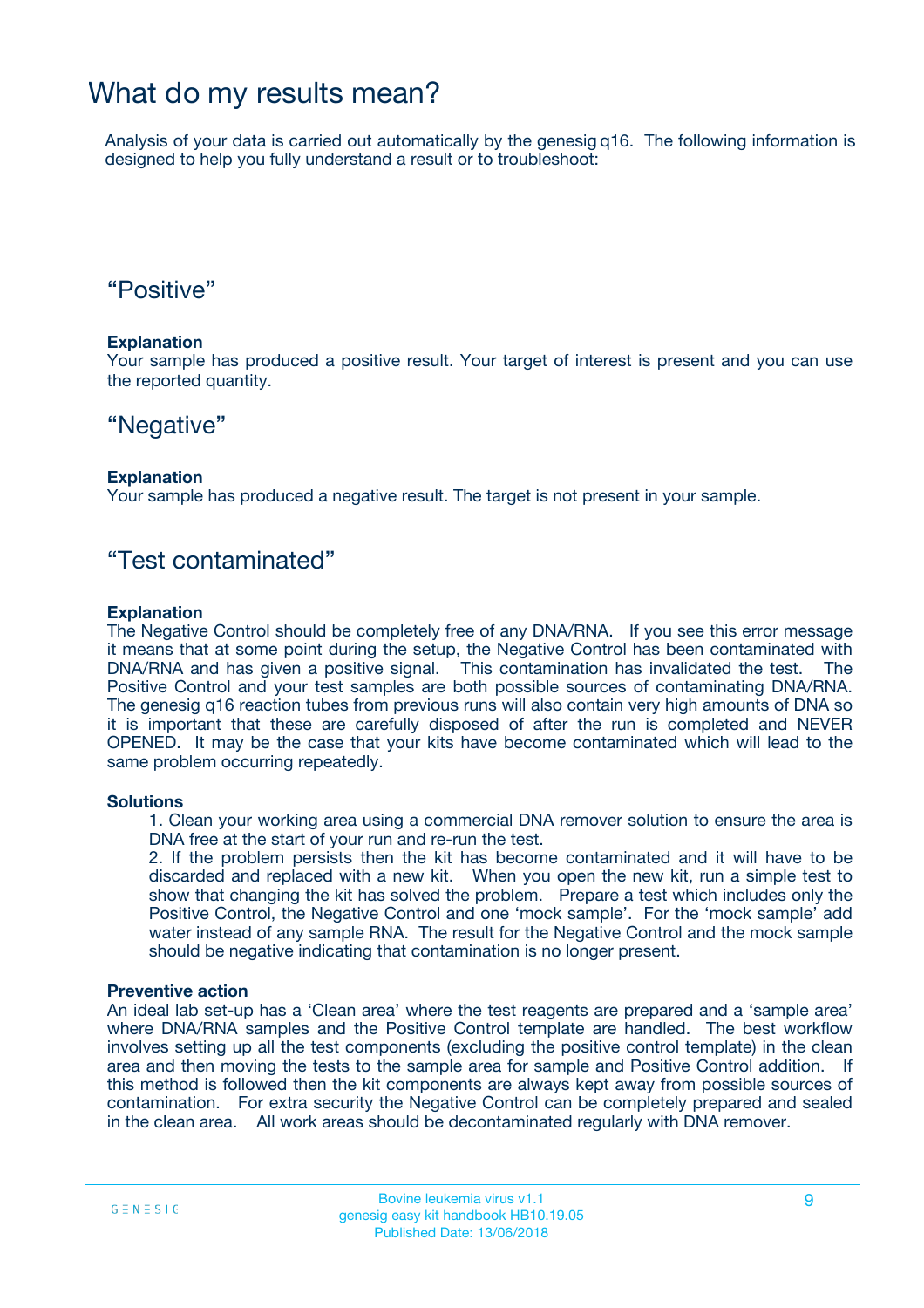## What do my results mean?

Analysis of your data is carried out automatically by the genesig q16. The following information is designed to help you fully understand a result or to troubleshoot:

## "Positive"

### **Explanation**

Your sample has produced a positive result. Your target of interest is present and you can use the reported quantity.

## "Negative"

### **Explanation**

Your sample has produced a negative result. The target is not present in your sample.

## "Test contaminated"

### **Explanation**

The Negative Control should be completely free of any DNA/RNA. If you see this error message it means that at some point during the setup, the Negative Control has been contaminated with DNA/RNA and has given a positive signal. This contamination has invalidated the test. The Positive Control and your test samples are both possible sources of contaminating DNA/RNA. The genesig q16 reaction tubes from previous runs will also contain very high amounts of DNA so it is important that these are carefully disposed of after the run is completed and NEVER OPENED. It may be the case that your kits have become contaminated which will lead to the same problem occurring repeatedly.

### **Solutions**

1. Clean your working area using a commercial DNA remover solution to ensure the area is DNA free at the start of your run and re-run the test.

2. If the problem persists then the kit has become contaminated and it will have to be discarded and replaced with a new kit. When you open the new kit, run a simple test to show that changing the kit has solved the problem. Prepare a test which includes only the Positive Control, the Negative Control and one 'mock sample'. For the 'mock sample' add water instead of any sample RNA. The result for the Negative Control and the mock sample should be negative indicating that contamination is no longer present.

#### **Preventive action**

An ideal lab set-up has a 'Clean area' where the test reagents are prepared and a 'sample area' where DNA/RNA samples and the Positive Control template are handled. The best workflow involves setting up all the test components (excluding the positive control template) in the clean area and then moving the tests to the sample area for sample and Positive Control addition. If this method is followed then the kit components are always kept away from possible sources of contamination. For extra security the Negative Control can be completely prepared and sealed in the clean area. All work areas should be decontaminated regularly with DNA remover.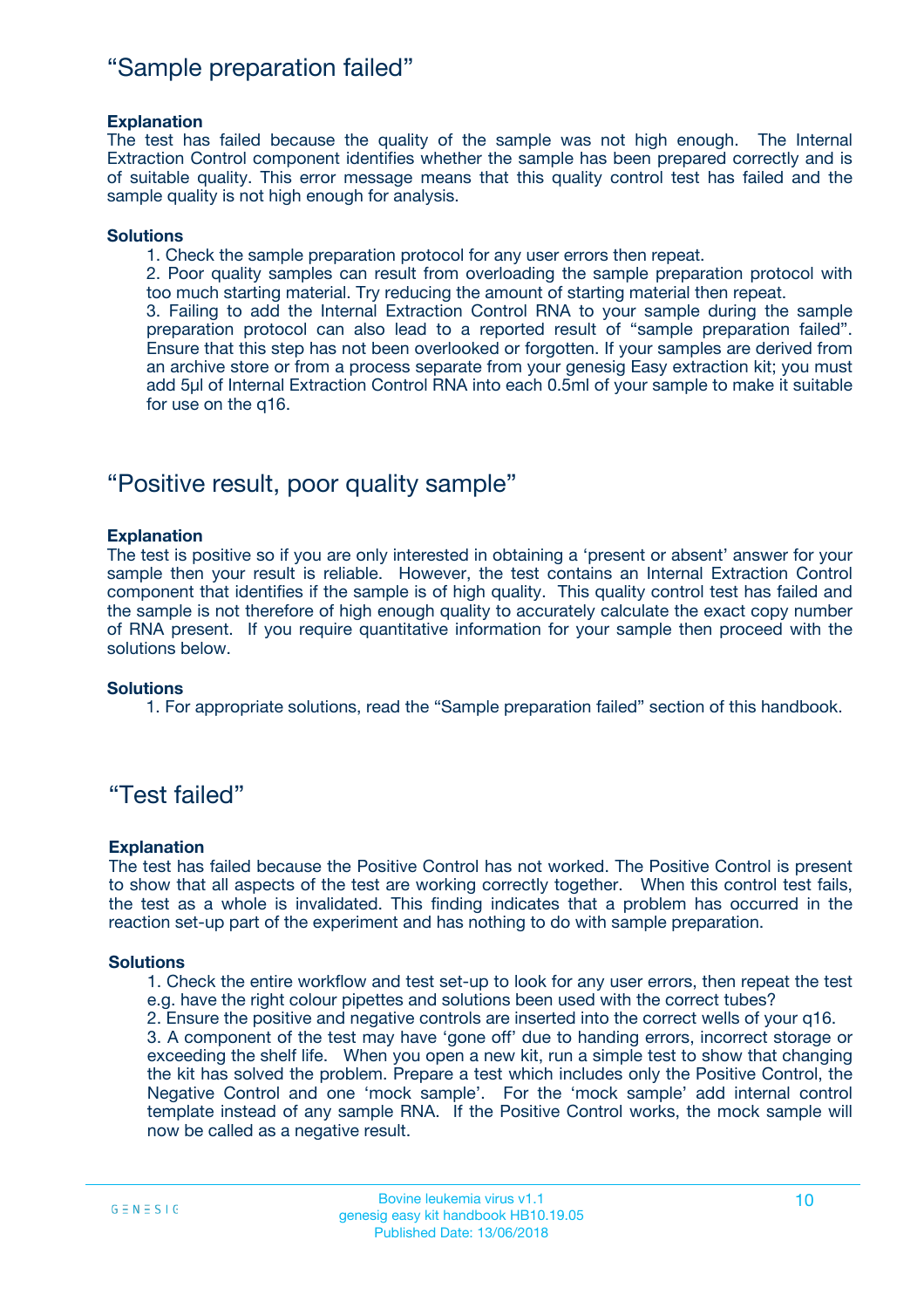## "Sample preparation failed"

### **Explanation**

The test has failed because the quality of the sample was not high enough. The Internal Extraction Control component identifies whether the sample has been prepared correctly and is of suitable quality. This error message means that this quality control test has failed and the sample quality is not high enough for analysis.

#### **Solutions**

1. Check the sample preparation protocol for any user errors then repeat.

2. Poor quality samples can result from overloading the sample preparation protocol with too much starting material. Try reducing the amount of starting material then repeat.

3. Failing to add the Internal Extraction Control RNA to your sample during the sample preparation protocol can also lead to a reported result of "sample preparation failed". Ensure that this step has not been overlooked or forgotten. If your samples are derived from an archive store or from a process separate from your genesig Easy extraction kit; you must add 5µl of Internal Extraction Control RNA into each 0.5ml of your sample to make it suitable for use on the q16.

## "Positive result, poor quality sample"

### **Explanation**

The test is positive so if you are only interested in obtaining a 'present or absent' answer for your sample then your result is reliable. However, the test contains an Internal Extraction Control component that identifies if the sample is of high quality. This quality control test has failed and the sample is not therefore of high enough quality to accurately calculate the exact copy number of RNA present. If you require quantitative information for your sample then proceed with the solutions below.

#### **Solutions**

1. For appropriate solutions, read the "Sample preparation failed" section of this handbook.

## "Test failed"

### **Explanation**

The test has failed because the Positive Control has not worked. The Positive Control is present to show that all aspects of the test are working correctly together. When this control test fails, the test as a whole is invalidated. This finding indicates that a problem has occurred in the reaction set-up part of the experiment and has nothing to do with sample preparation.

#### **Solutions**

- 1. Check the entire workflow and test set-up to look for any user errors, then repeat the test e.g. have the right colour pipettes and solutions been used with the correct tubes?
- 2. Ensure the positive and negative controls are inserted into the correct wells of your q16.

3. A component of the test may have 'gone off' due to handing errors, incorrect storage or exceeding the shelf life. When you open a new kit, run a simple test to show that changing the kit has solved the problem. Prepare a test which includes only the Positive Control, the Negative Control and one 'mock sample'. For the 'mock sample' add internal control template instead of any sample RNA. If the Positive Control works, the mock sample will now be called as a negative result.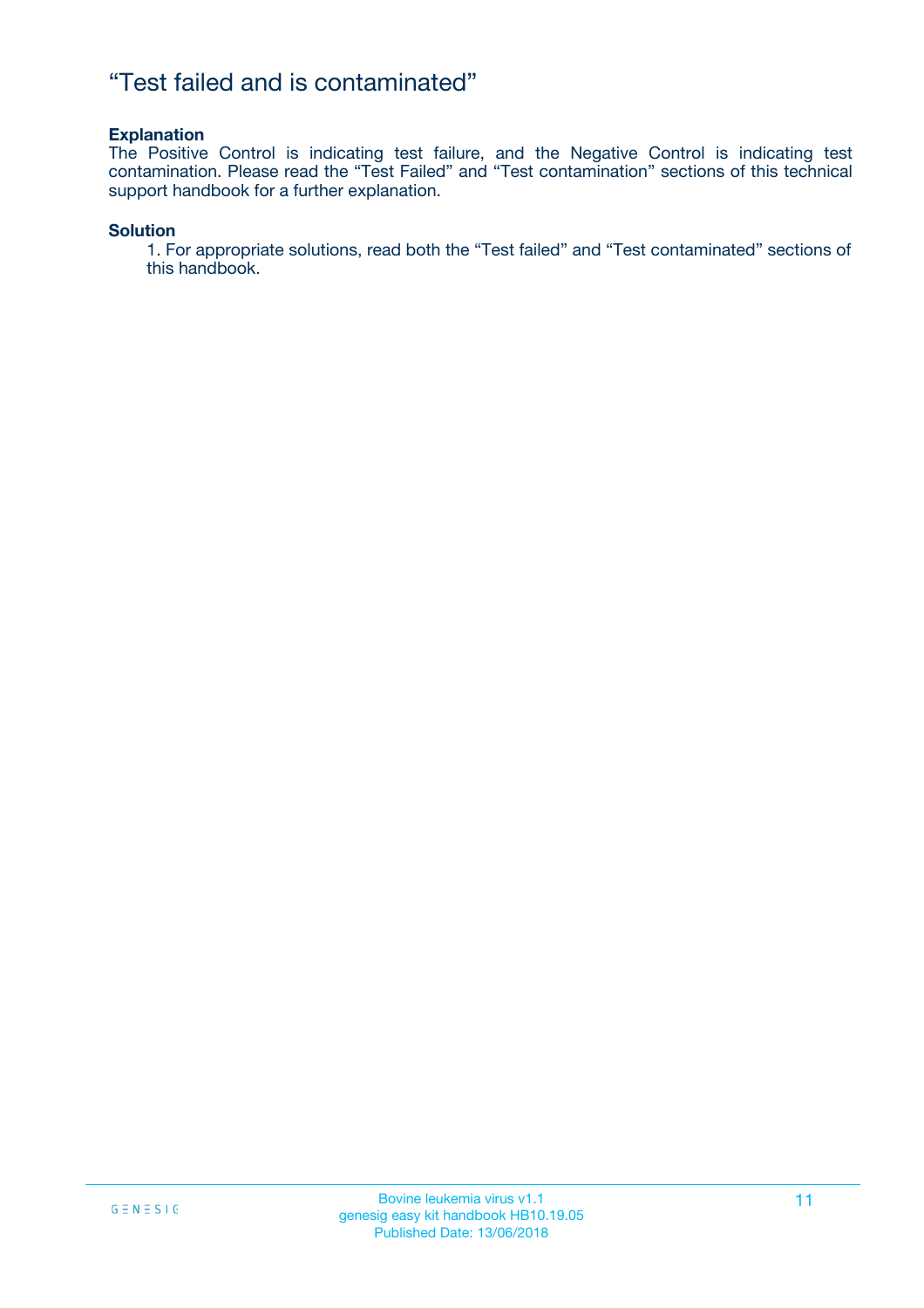## "Test failed and is contaminated"

### **Explanation**

The Positive Control is indicating test failure, and the Negative Control is indicating test contamination. Please read the "Test Failed" and "Test contamination" sections of this technical support handbook for a further explanation.

### **Solution**

1. For appropriate solutions, read both the "Test failed" and "Test contaminated" sections of this handbook.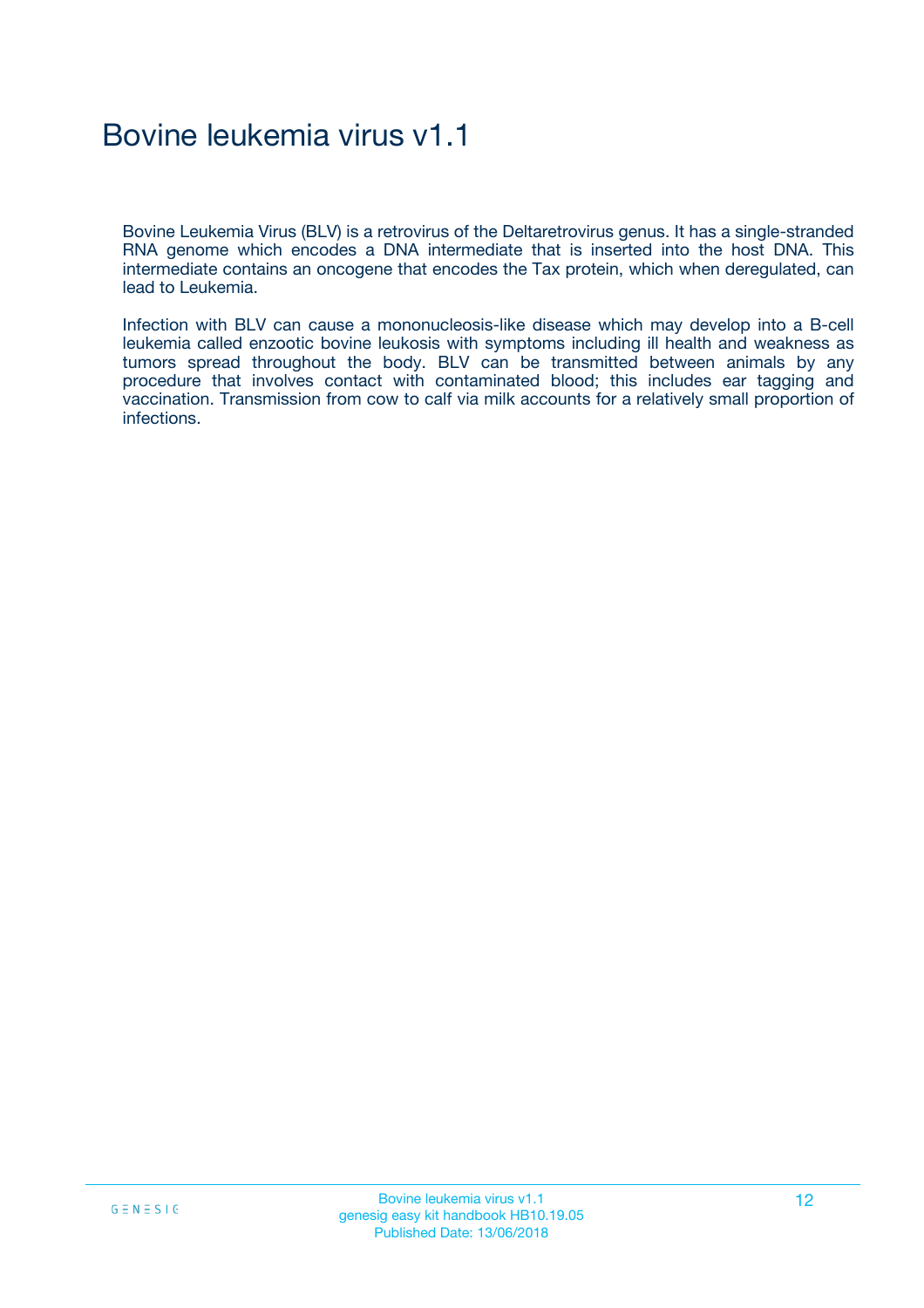## Bovine leukemia virus v1.1

Bovine Leukemia Virus (BLV) is a retrovirus of the Deltaretrovirus genus. It has a single-stranded RNA genome which encodes a DNA intermediate that is inserted into the host DNA. This intermediate contains an oncogene that encodes the Tax protein, which when deregulated, can lead to Leukemia.

Infection with BLV can cause a mononucleosis-like disease which may develop into a B-cell leukemia called enzootic bovine leukosis with symptoms including ill health and weakness as tumors spread throughout the body. BLV can be transmitted between animals by any procedure that involves contact with contaminated blood; this includes ear tagging and vaccination. Transmission from cow to calf via milk accounts for a relatively small proportion of infections.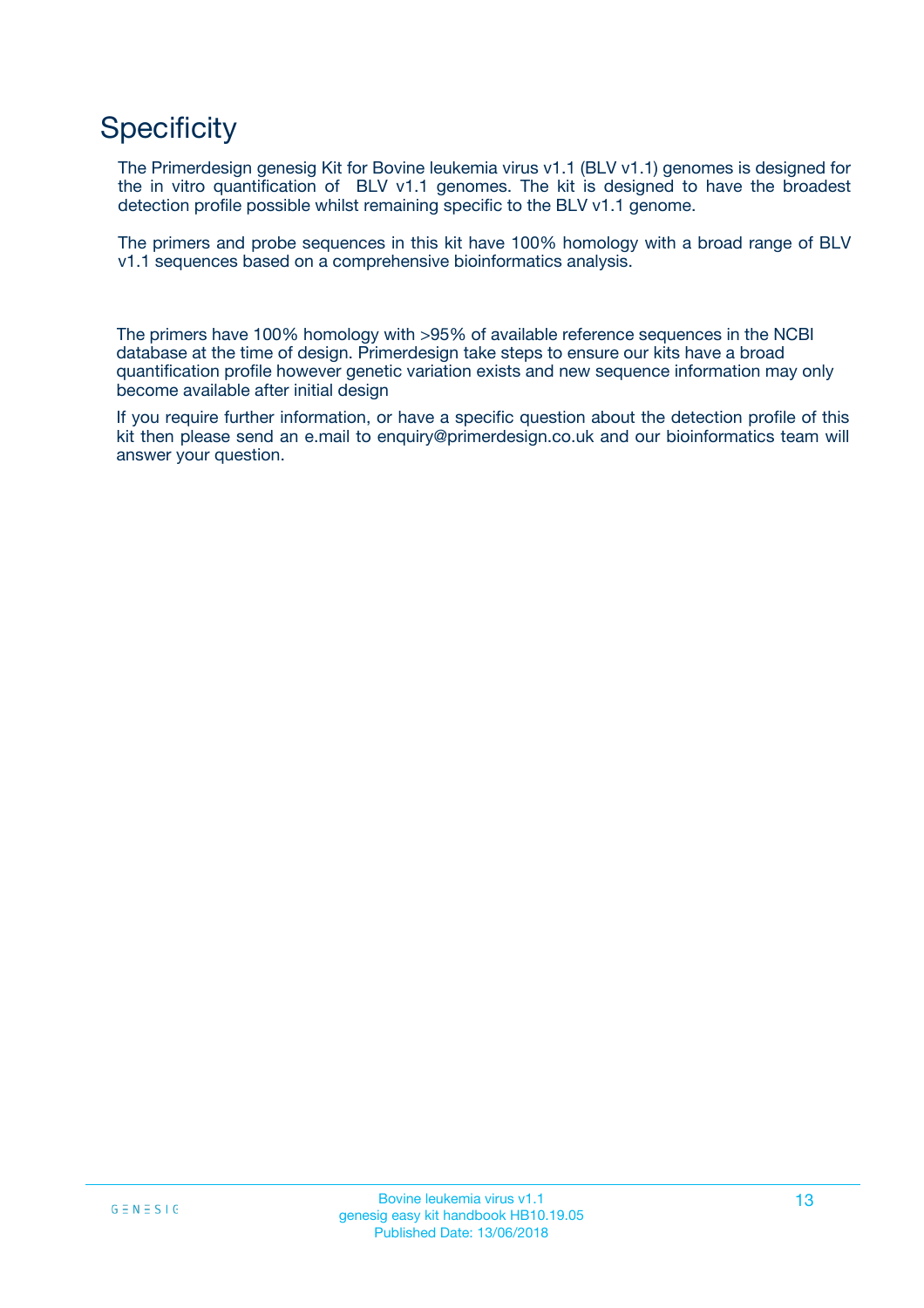## **Specificity**

The Primerdesign genesig Kit for Bovine leukemia virus v1.1 (BLV v1.1) genomes is designed for the in vitro quantification of BLV v1.1 genomes. The kit is designed to have the broadest detection profile possible whilst remaining specific to the BLV v1.1 genome.

The primers and probe sequences in this kit have 100% homology with a broad range of BLV v1.1 sequences based on a comprehensive bioinformatics analysis.

The primers have 100% homology with >95% of available reference sequences in the NCBI database at the time of design. Primerdesign take steps to ensure our kits have a broad quantification profile however genetic variation exists and new sequence information may only become available after initial design

If you require further information, or have a specific question about the detection profile of this kit then please send an e.mail to enquiry@primerdesign.co.uk and our bioinformatics team will answer your question.